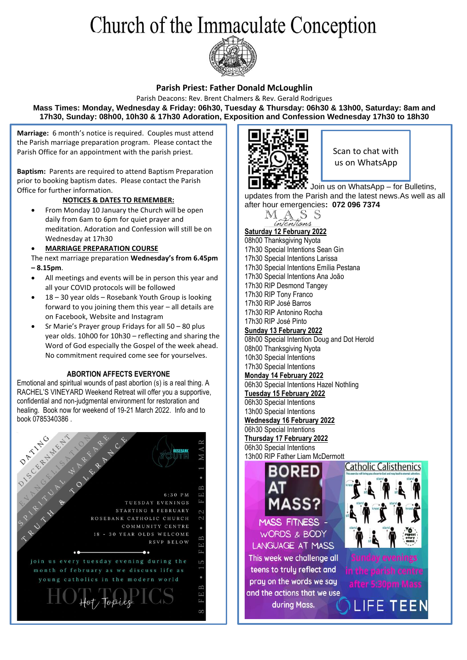# Church of the Immaculate Conception



#### **Parish Priest: Father Donald McLoughlin**

Parish Deacons: Rev. Brent Chalmers & Rev. Gerald Rodrigues **Mass Times: Monday, Wednesday & Friday: 06h30, Tuesday & Thursday: 06h30 & 13h00, Saturday: 8am and 17h30, Sunday: 08h00, 10h30 & 17h30 Adoration, Exposition and Confession Wednesday 17h30 to 18h30**

**Marriage:** 6 month's notice is required. Couples must attend the Parish marriage preparation program. Please contact the Parish Office for an appointment with the parish priest.

**Baptism:** Parents are required to attend Baptism Preparation prior to booking baptism dates. Please contact the Parish Office for further information.

#### **NOTICES & DATES TO REMEMBER:**

• From Monday 10 January the Church will be open daily from 6am to 6pm for quiet prayer and meditation. Adoration and Confession will still be on Wednesday at 17h30

#### • **MARRIAGE PREPARATION COURSE**

- The next marriage preparation **Wednesday's from 6.45pm – 8.15pm**.
- All meetings and events will be in person this year and all your COVID protocols will be followed
- 18 30 year olds Rosebank Youth Group is looking forward to you joining them this year – all details are on Facebook, Website and Instagram
- Sr Marie's Prayer group Fridays for all 50 80 plus year olds. 10h00 for 10h30 – reflecting and sharing the Word of God especially the Gospel of the week ahead. No commitment required come see for yourselves.

#### **ABORTION AFFECTS EVERYONE**

Emotional and spiritual wounds of past abortion (s) is a real thing. A RACHEL'S VINEYARD Weekend Retreat will offer you a supportive, confidential and non-judgmental environment for restoration and healing. Book now for weekend of 19-21 March 2022. Info and to book 0785340386 .





Scan to chat with us on WhatsApp

Join us on WhatsApp – for Bulletins, updates from the Parish and the latest news.As well as all after hour emergencies**: 072 096 7374**



**Saturday 12 February 2022** 08h00 Thanksgiving Nyota 17h30 Special Intentions Sean Gin 17h30 Special Intentions Larissa 17h30 Special Intentions Emília Pestana 17h30 Special Intentions Ana João 17h30 RIP Desmond Tangey 17h30 RIP Tony Franco 17h30 RIP José Barros 17h30 RIP Antonino Rocha 17h30 RIP José Pinto **Sunday 13 February 2022** 08h00 Special Intention Doug and Dot Herold 08h00 Thanksgiving Nyota 10h30 Special Intentions 17h30 Special Intentions **Monday 14 February 2022** 06h30 Special Intentions Hazel Nothling **Tuesday 15 February 2022** 06h30 Special Intentions 13h00 Special Intentions **Wednesday 16 February 2022** 06h30 Special Intentions

**Thursday 17 February 2022** 06h30 Special Intentions 13h00 RIP Father Liam McDermott



pray on the words we say and the actions that we use during Mass.